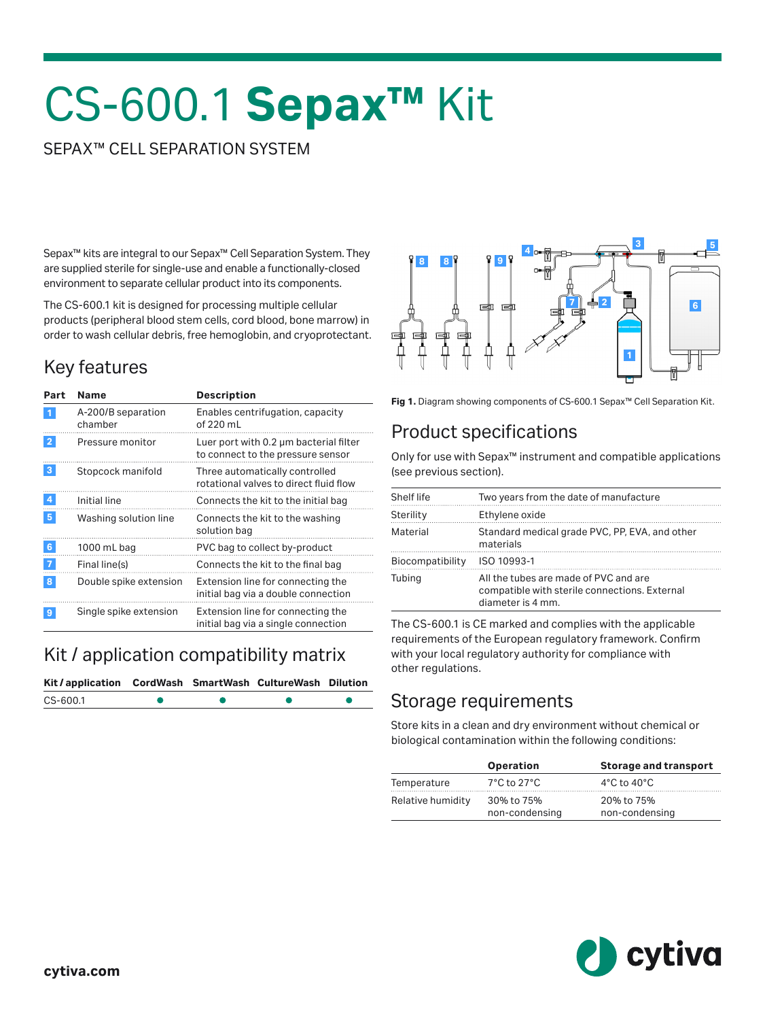# CS-600.1 **Sepax™** Kit

#### SEPAX™ CELL SEPARATION SYSTEM

Sepax™ kits are integral to our Sepax™ Cell Separation System. They are supplied sterile for single-use and enable a functionally-closed environment to separate cellular product into its components.

The CS-600.1 kit is designed for processing multiple cellular products (peripheral blood stem cells, cord blood, bone marrow) in order to wash cellular debris, free hemoglobin, and cryoprotectant.

### Key features

| Part             | <b>Name</b>                   | <b>Description</b>                                                          |
|------------------|-------------------------------|-----------------------------------------------------------------------------|
| $\mathbf{1}$     | A-200/B separation<br>chamber | Enables centrifugation, capacity<br>of 220 mL                               |
| $\overline{2}$   | Pressure monitor              | Luer port with 0.2 µm bacterial filter<br>to connect to the pressure sensor |
| 3                | Stopcock manifold             | Three automatically controlled<br>rotational valves to direct fluid flow    |
| $\boldsymbol{4}$ | Initial line                  | Connects the kit to the initial bag                                         |
| 5 <sub>5</sub>   | Washing solution line         | Connects the kit to the washing<br>solution bag                             |
| 6                | 1000 mL bag                   | PVC bag to collect by-product                                               |
| $\overline{7}$   | Final line(s)                 | Connects the kit to the final bag                                           |
| 8                | Double spike extension        | Extension line for connecting the<br>initial bag via a double connection    |
| 9                | Single spike extension        | Extension line for connecting the<br>initial bag via a single connection    |

#### Kit / application compatibility matrix

| Kit/application CordWash SmartWash CultureWash Dilution |  |  |
|---------------------------------------------------------|--|--|
| CS-600.1                                                |  |  |





#### Product specifications

Only for use with Sepax™ instrument and compatible applications (see previous section).

| Shelf life       | Two years from the date of manufacture                                                                      |
|------------------|-------------------------------------------------------------------------------------------------------------|
| Sterility        | Ethylene oxide                                                                                              |
| Material         | Standard medical grade PVC, PP, EVA, and other<br>materials                                                 |
| Biocompatibility | ISO 10993-1                                                                                                 |
| Tubing           | All the tubes are made of PVC and are<br>compatible with sterile connections. External<br>diameter is 4 mm. |

The CS-600.1 is CE marked and complies with the applicable requirements of the European regulatory framework. Confirm with your local regulatory authority for compliance with other regulations.

#### Storage requirements

Store kits in a clean and dry environment without chemical or biological contamination within the following conditions:

|                   | <b>Operation</b>                 | <b>Storage and transport</b>    |
|-------------------|----------------------------------|---------------------------------|
| Temperature       | $7^{\circ}$ C to 27 $^{\circ}$ C | $4^{\circ}$ C to $40^{\circ}$ C |
| Relative humidity | 30% to 75%<br>non-condensing     | 20% to 75%<br>non-condensing    |